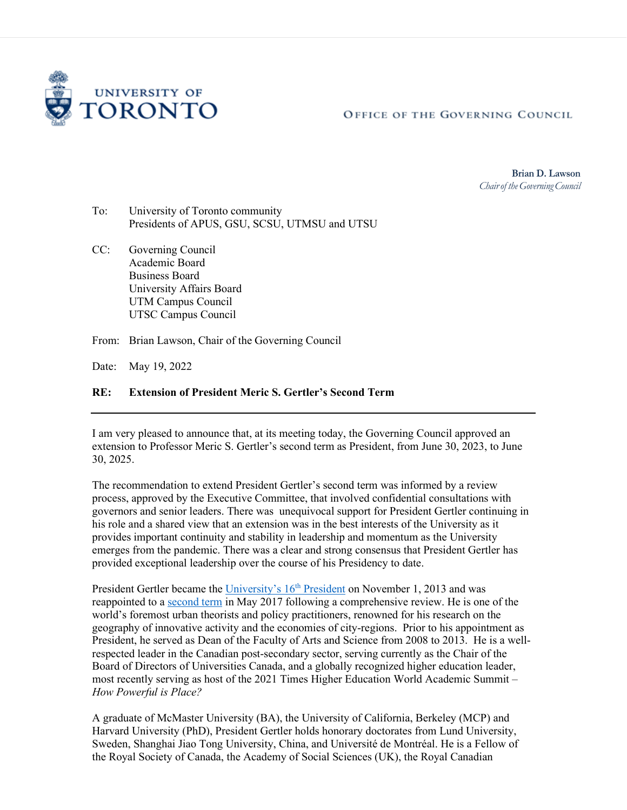

OFFICE OF THE GOVERNING COUNCIL

**Brian D. Lawson** *Chairof the GoverningCouncil*

- To: University of Toronto community Presidents of APUS, GSU, SCSU, UTMSU and UTSU
- CC: Governing Council Academic Board Business Board University Affairs Board UTM Campus Council UTSC Campus Council

From: Brian Lawson, Chair of the Governing Council

Date: May 19, 2022

## **RE: Extension of President Meric S. Gertler's Second Term**

I am very pleased to announce that, at its meeting today, the Governing Council approved an extension to Professor Meric S. Gertler's second term as President, from June 30, 2023, to June 30, 2025.

The recommendation to extend President Gertler's second term was informed by a review process, approved by the Executive Committee, that involved confidential consultations with governors and senior leaders. There was unequivocal support for President Gertler continuing in his role and a shared view that an extension was in the best interests of the University as it provides important continuity and stability in leadership and momentum as the University emerges from the pandemic. There was a clear and strong consensus that President Gertler has provided exceptional leadership over the course of his Presidency to date.

President Gertler became the University's 16<sup>th</sup> President on November 1, 2013 and was reappointed to [a second term](https://governingcouncil.utoronto.ca/system/files/2022-03/Gertler%202nd%20Term_May2017.pdf) in May 2017 following a comprehensive review. He is one of the world's foremost urban theorists and policy practitioners, renowned for his research on the geography of innovative activity and the economies of city-regions. Prior to his appointment as President, he served as Dean of the Faculty of Arts and Science from 2008 to 2013. He is a wellrespected leader in the Canadian post-secondary sector, serving currently as the Chair of the Board of Directors of Universities Canada, and a globally recognized higher education leader, most recently serving as host of the 2021 Times Higher Education World Academic Summit – *How Powerful is Place?*

A graduate of McMaster University (BA), the University of California, Berkeley (MCP) and Harvard University (PhD), President Gertler holds honorary doctorates from Lund University, Sweden, Shanghai Jiao Tong University, China, and Université de Montréal. He is a Fellow of the Royal Society of Canada, the Academy of Social Sciences (UK), the Royal Canadian